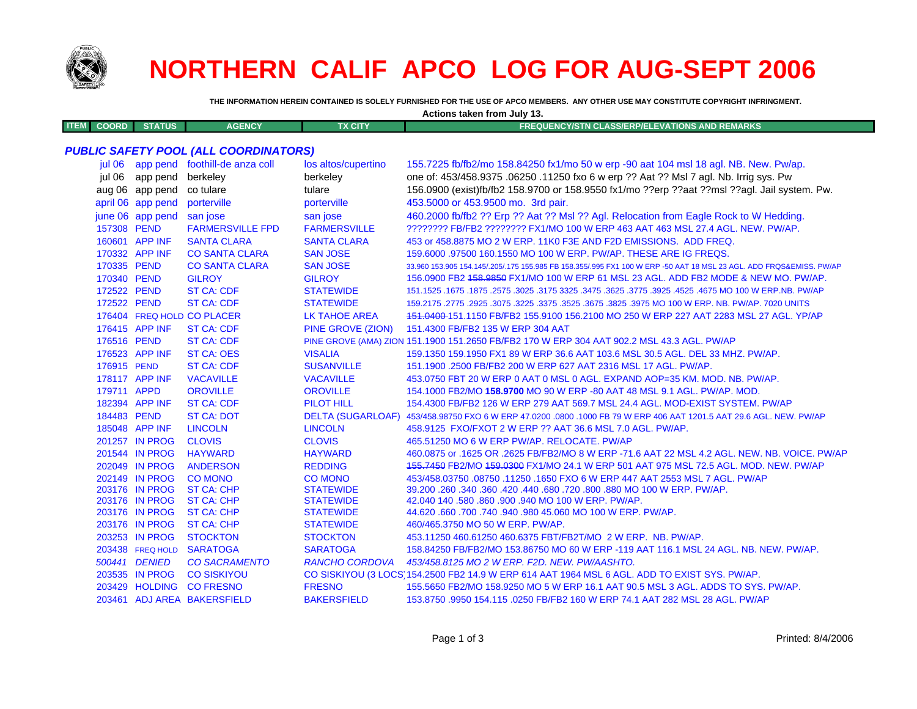

## **NORTHERN CALIF APCO LOG FOR AUG-SEPT 2006**

THE INFORMATION HEREIN CONTAINED IS SOLELY FURNISHED FOR THE USE OF APCO MEMBERS. ANY OTHER USE MAY CONSTITUTE COPYRIGHT INFRINGMENT.

| Actions taken from July 13. |                   |                                              |                          |                                                                                                                     |
|-----------------------------|-------------------|----------------------------------------------|--------------------------|---------------------------------------------------------------------------------------------------------------------|
| <b>ITEM</b><br><b>COORD</b> | <b>STATUS</b>     | <b>AGENCY</b>                                | <b>TX CITY</b>           | <b>FREQUENCY/STN CLASS/ERP/ELEVATIONS AND REMARKS</b>                                                               |
|                             |                   |                                              |                          |                                                                                                                     |
|                             |                   | <b>PUBLIC SAFETY POOL (ALL COORDINATORS)</b> |                          |                                                                                                                     |
|                             |                   | jul 06 app pend foothill-de anza coll        | los altos/cupertino      | 155.7225 fb/fb2/mo 158.84250 fx1/mo 50 w erp -90 aat 104 msl 18 agl. NB. New. Pw/ap.                                |
| iul 06                      | app pend          | berkeley                                     | berkeley                 | one of: 453/458.9375 .06250 .11250 fxo 6 w erp ?? Aat ?? Msl 7 agl. Nb. Irrig sys. Pw                               |
|                             | aug 06 app pend   | co tulare                                    | tulare                   | 156.0900 (exist)fb/fb2 158.9700 or 158.9550 fx1/mo ??erp ??aat ??msl ??agl. Jail system. Pw.                        |
|                             | april 06 app pend | porterville                                  | porterville              | 453.5000 or 453.9500 mo. 3rd pair.                                                                                  |
|                             | june 06 app pend  | san jose                                     | san jose                 | 460.2000 fb/fb2 ?? Erp ?? Aat ?? MsI ?? Agl. Relocation from Eagle Rock to W Hedding.                               |
| 157308 PEND                 |                   | <b>FARMERSVILLE FPD</b>                      | <b>FARMERSVILLE</b>      | ???????? FB/FB2 ???????? FX1/MO 100 W ERP 463 AAT 463 MSL 27.4 AGL. NEW. PW/AP.                                     |
|                             | 160601 APP INF    | <b>SANTA CLARA</b>                           | <b>SANTA CLARA</b>       | 453 or 458.8875 MO 2 W ERP. 11K0 F3E AND F2D EMISSIONS. ADD FREQ.                                                   |
|                             | 170332 APP INF    | <b>CO SANTA CLARA</b>                        | <b>SAN JOSE</b>          | 159,6000 .97500 160.1550 MO 100 W ERP. PW/AP. THESE ARE IG FREQS.                                                   |
| 170335 PEND                 |                   | <b>CO SANTA CLARA</b>                        | <b>SAN JOSE</b>          | 33.960 153.905 154.145/.205/.175 155.985 FB 158.355/.995 FX1 100 W ERP -50 AAT 18 MSL 23 AGL. ADD FRQS&EMISS. PW/AP |
| 170340 PEND                 |                   | <b>GILROY</b>                                | <b>GILROY</b>            | 156.0900 FB2 458.9850 FX1/MO 100 W ERP 61 MSL 23 AGL. ADD FB2 MODE & NEW MO. PW/AP.                                 |
| 172522 PEND                 |                   | <b>ST CA: CDF</b>                            | <b>STATEWIDE</b>         | 151.1525 .1675 .1875 .2575 .3025 .3175 3325 .3475 .3625 .3775 .3925 .4525 .4675 MO 100 W ERP NB. PW/AP              |
| 172522 PEND                 |                   | <b>ST CA: CDF</b>                            | <b>STATEWIDE</b>         | 159.2175 .2775 .2925 .3075 .3225 .3375 .3525 .3675 .3825 .3975 MO 100 W ERP. NB. PW/AP. 7020 UNITS                  |
|                             |                   | 176404 FREQ HOLD CO PLACER                   | <b>LK TAHOE AREA</b>     | 151.0400-151.1150 FB/FB2 155.9100 156.2100 MO 250 W ERP 227 AAT 2283 MSL 27 AGL. YP/AP                              |
|                             | 176415 APP INF    | <b>ST CA: CDF</b>                            | PINE GROVE (ZION)        | 151.4300 FB/FB2 135 W ERP 304 AAT                                                                                   |
| 176516 PEND                 |                   | <b>ST CA: CDF</b>                            |                          | PINE GROVE (AMA) ZION 151.1900 151.2650 FB/FB2 170 W ERP 304 AAT 902.2 MSL 43.3 AGL. PW/AP                          |
|                             | 176523 APP INF    | <b>ST CA: OES</b>                            | <b>VISALIA</b>           | 159.1350 159.1950 FX1 89 W ERP 36.6 AAT 103.6 MSL 30.5 AGL. DEL 33 MHZ. PW/AP.                                      |
| 176915 PEND                 |                   | <b>ST CA: CDF</b>                            | <b>SUSANVILLE</b>        | 151.1900 .2500 FB/FB2 200 W ERP 627 AAT 2316 MSL 17 AGL. PW/AP.                                                     |
|                             | 178117 APP INF    | <b>VACAVILLE</b>                             | <b>VACAVILLE</b>         | 453.0750 FBT 20 W ERP 0 AAT 0 MSL 0 AGL. EXPAND AOP=35 KM. MOD. NB. PW/AP.                                          |
| 179711 APPD                 |                   | <b>OROVILLE</b>                              | <b>OROVILLE</b>          | 154.1000 FB2/MO 158.9700 MO 90 W ERP -80 AAT 48 MSL 9.1 AGL. PW/AP. MOD.                                            |
|                             | 182394 APP INF    | <b>ST CA: CDF</b>                            | <b>PILOT HILL</b>        | 154,4300 FB/FB2 126 W ERP 279 AAT 569.7 MSL 24.4 AGL, MOD-EXIST SYSTEM, PW/AP                                       |
| 184483 PEND                 |                   | <b>ST CA: DOT</b>                            | <b>DELTA (SUGARLOAF)</b> | 453/458.98750 FXO 6 W ERP 47.0200 .0800 .1000 FB 79 W ERP 406 AAT 1201.5 AAT 29.6 AGL. NEW. PW/AP                   |
|                             | 185048 APP INF    | <b>LINCOLN</b>                               | <b>LINCOLN</b>           | 458.9125 FXO/FXOT 2 W ERP ?? AAT 36.6 MSL 7.0 AGL. PW/AP.                                                           |
|                             | 201257 IN PROG    | <b>CLOVIS</b>                                | <b>CLOVIS</b>            | 465.51250 MO 6 W ERP PW/AP. RELOCATE. PW/AP                                                                         |
|                             | 201544 IN PROG    | <b>HAYWARD</b>                               | <b>HAYWARD</b>           | 460.0875 or .1625 OR .2625 FB/FB2/MO 8 W ERP -71.6 AAT 22 MSL 4.2 AGL, NEW, NB, VOICE, PW/AP                        |
|                             | 202049 IN PROG    | <b>ANDERSON</b>                              | <b>REDDING</b>           | 455.7450 FB2/MO 459.0300 FX1/MO 24.1 W ERP 501 AAT 975 MSL 72.5 AGL. MOD. NEW. PW/AP                                |
|                             | 202149 IN PROG    | <b>CO MONO</b>                               | <b>CO MONO</b>           | 453/458.03750.08750.11250.1650 FXO 6 W ERP 447 AAT 2553 MSL 7 AGL. PW/AP                                            |
|                             | 203176 IN PROG    | <b>ST CA: CHP</b>                            | <b>STATEWIDE</b>         | 39.200 .260 .340 .360 .420 .440 .680 .720 .800 .880 MO 100 W ERP. PW/AP.                                            |
|                             | 203176 IN PROG    | <b>ST CA: CHP</b>                            | <b>STATEWIDE</b>         | 42.040 140 .580 .860 .900 .940 MO 100 W ERP. PW/AP.                                                                 |
|                             | 203176 IN PROG    | <b>ST CA: CHP</b>                            | <b>STATEWIDE</b>         | 44.620 .660 .700 .740 .940 .980 45.060 MO 100 W ERP. PW/AP.                                                         |
|                             | 203176 IN PROG    | <b>ST CA: CHP</b>                            | <b>STATEWIDE</b>         | 460/465.3750 MO 50 W ERP. PW/AP.                                                                                    |
|                             | 203253 IN PROG    | <b>STOCKTON</b>                              | <b>STOCKTON</b>          | 453.11250 460.61250 460.6375 FBT/FB2T/MO 2 W ERP. NB. PW/AP.                                                        |
|                             | 203438 FREQ HOLD  | <b>SARATOGA</b>                              | <b>SARATOGA</b>          | 158.84250 FB/FB2/MO 153.86750 MO 60 W ERP -119 AAT 116.1 MSL 24 AGL, NB, NEW, PW/AP,                                |
|                             | 500441 DENIED     | <b>CO SACRAMENTO</b>                         | <b>RANCHO CORDOVA</b>    | 453/458.8125 MO 2 W ERP. F2D. NEW. PW/AASHTO.                                                                       |
|                             | 203535 IN PROG    | <b>CO SISKIYOU</b>                           |                          | CO SISKIYOU (3 LOCS) 154.2500 FB2 14.9 W ERP 614 AAT 1964 MSL 6 AGL. ADD TO EXIST SYS. PW/AP.                       |

203461 ADJ AREA BAKERSFIELD **BAKERSFIELD** 153,8750,9950,154,115,0250 FB/FB2 160 W ERP 74.1 AAT 282 MSL 28 AGL, PW/AP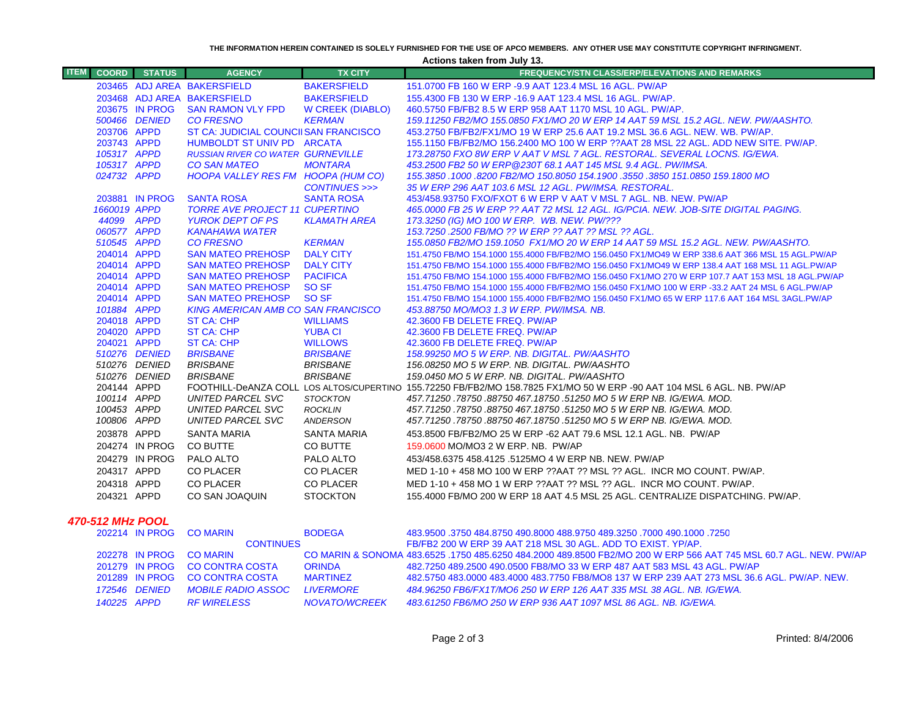**THE INFORMATION HEREIN CONTAINED IS SOLELY FURNISHED FOR THE USE OF APCO MEMBERS. ANY OTHER USE MAY CONSTITUTE COPYRIGHT INFRINGMENT.**

**Actions taken from July 13.**

| <b>ITEM</b> | <b>COORD</b>               | <b>STATUS</b>    | <b>AGENCY</b>                             | <b>TX CITY</b>                    | <b>FREQUENCY/STN CLASS/ERP/ELEVATIONS AND REMARKS</b>                                                                  |
|-------------|----------------------------|------------------|-------------------------------------------|-----------------------------------|------------------------------------------------------------------------------------------------------------------------|
|             |                            |                  | 203465 ADJ AREA BAKERSFIELD               | <b>BAKERSFIELD</b>                | 151.0700 FB 160 W ERP -9.9 AAT 123.4 MSL 16 AGL, PW/AP                                                                 |
|             |                            |                  | 203468 ADJ AREA BAKERSFIELD               | <b>BAKERSFIELD</b>                | 155,4300 FB 130 W ERP -16.9 AAT 123.4 MSL 16 AGL, PW/AP.                                                               |
|             |                            | 203675 IN PROG   | <b>SAN RAMON VLY FPD</b>                  | <b>W CREEK (DIABLO)</b>           | 460.5750 FB/FB2 8.5 W ERP 958 AAT 1170 MSL 10 AGL. PW/AP.                                                              |
|             |                            | 500466 DENIED    | <b>CO FRESNO</b>                          | <b>KERMAN</b>                     | 159.11250 FB2/MO 155.0850 FX1/MO 20 W ERP 14 AAT 59 MSL 15.2 AGL. NEW. PW/AASHTO.                                      |
|             | 203706 APPD                |                  | ST CA: JUDICIAL COUNCIISAN FRANCISCO      |                                   | 453.2750 FB/FB2/FX1/MO 19 W ERP 25.6 AAT 19.2 MSL 36.6 AGL. NEW. WB. PW/AP.                                            |
|             | 203743 APPD                |                  | HUMBOLDT ST UNIV PD ARCATA                |                                   | 155.1150 FB/FB2/MO 156.2400 MO 100 W ERP ??AAT 28 MSL 22 AGL. ADD NEW SITE. PW/AP.                                     |
|             | 105317 APPD                |                  | <b>RUSSIAN RIVER CO WATER GURNEVILLE</b>  |                                   | 173.28750 FXO 8W ERP V AAT V MSL 7 AGL. RESTORAL. SEVERAL LOCNS. IG/EWA.                                               |
|             | 105317 APPD                |                  | <b>CO SAN MATEO</b>                       | <b>MONTARA</b>                    | 453.2500 FB2 50 W ERP @230T 68.1 AAT 145 MSL 9.4 AGL. PW/IMSA.                                                         |
|             | 024732 APPD                |                  | HOOPA VALLEY RES FM HOOPA (HUM CO)        |                                   | 155.3850 .1000 .8200 FB2/MO 150.8050 154.1900 .3550 .3850 151.0850 159.1800 MO                                         |
|             |                            |                  |                                           | CONTINUES >>>                     | 35 W ERP 296 AAT 103.6 MSL 12 AGL. PW/IMSA. RESTORAL.                                                                  |
|             |                            | 203881 IN PROG   | <b>SANTA ROSA</b>                         | <b>SANTA ROSA</b>                 | 453/458.93750 FXO/FXOT 6 W ERP V AAT V MSL 7 AGL, NB, NEW, PW/AP                                                       |
|             | 1660019 APPD               |                  | TORRE AVE PROJECT 11 CUPERTINO            |                                   | 465.0000 FB 25 W ERP ?? AAT 72 MSL 12 AGL. IG/PCIA. NEW. JOB-SITE DIGITAL PAGING.                                      |
|             | 44099 APPD                 |                  | <b>YUROK DEPT OF PS</b>                   | <b>KLAMATH AREA</b>               | 173.3250 (IG) MO 100 W ERP. WB. NEW. PW/???                                                                            |
|             | 060577 APPD                |                  | <b>KANAHAWA WATER</b>                     |                                   | 153.7250 .2500 FB/MO ?? W ERP ?? AAT ?? MSL ?? AGL.                                                                    |
|             | 510545 APPD                |                  | <b>CO FRESNO</b>                          | <b>KERMAN</b>                     | 155.0850 FB2/MO 159.1050 FX1/MO 20 W ERP 14 AAT 59 MSL 15.2 AGL. NEW. PW/AASHTO.                                       |
|             | 204014 APPD                |                  | <b>SAN MATEO PREHOSP</b>                  | <b>DALY CITY</b>                  | 151.4750 FB/MO 154.1000 155.4000 FB/FB2/MO 156.0450 FX1/MO49 W ERP 338.6 AAT 366 MSL 15 AGL.PW/AP                      |
|             | 204014 APPD                |                  | <b>SAN MATEO PREHOSP</b>                  | <b>DALY CITY</b>                  | 151.4750 FB/MO 154.1000 155.4000 FB/FB2/MO 156.0450 FX1/MO49 W ERP 138.4 AAT 168 MSL 11 AGL.PW/AP                      |
|             | 204014 APPD                |                  | <b>SAN MATEO PREHOSP</b>                  | <b>PACIFICA</b>                   | 151.4750 FB/MO 154.1000 155.4000 FB/FB2/MO 156.0450 FX1/MO 270 W ERP 107.7 AAT 153 MSL 18 AGL.PW/AP                    |
|             | 204014 APPD                |                  | <b>SAN MATEO PREHOSP</b>                  | <b>SO SF</b>                      | 151.4750 FB/MO 154.1000 155.4000 FB/FB2/MO 156.0450 FX1/MO 100 W ERP -33.2 AAT 24 MSL 6 AGL.PW/AP                      |
|             | 204014 APPD                |                  | <b>SAN MATEO PREHOSP</b>                  | SO <sub>SF</sub>                  | 151.4750 FB/MO 154.1000 155.4000 FB/FB2/MO 156.0450 FX1/MO 65 W ERP 117.6 AAT 164 MSL 3AGL.PW/AP                       |
|             | 101884 APPD                |                  | <b>KING AMERICAN AMB CO SAN FRANCISCO</b> |                                   | 453.88750 MO/MO3 1.3 W ERP. PW/IMSA. NB.                                                                               |
|             | 204018 APPD<br>204020 APPD |                  | ST CA: CHP<br><b>ST CA: CHP</b>           | <b>WILLIAMS</b><br><b>YUBA CI</b> | 42.3600 FB DELETE FREQ. PW/AP<br>42.3600 FB DELETE FREQ. PW/AP                                                         |
|             | 204021 APPD                |                  | ST CA: CHP                                | <b>WILLOWS</b>                    | 42.3600 FB DELETE FREQ. PW/AP                                                                                          |
|             |                            | 510276 DENIED    | <b>BRISBANE</b>                           | <b>BRISBANE</b>                   | 158.99250 MO 5 W ERP. NB. DIGITAL. PW/AASHTO                                                                           |
|             |                            | 510276 DENIED    | <b>BRISBANE</b>                           | <b>BRISBANE</b>                   | 156.08250 MO 5 W ERP. NB. DIGITAL. PW/AASHTO                                                                           |
|             |                            | 510276 DENIED    | <b>BRISBANE</b>                           | <b>BRISBANE</b>                   | 159.0450 MO 5 W ERP. NB. DIGITAL. PW/AASHTO                                                                            |
|             | 204144 APPD                |                  |                                           |                                   | FOOTHILL-DeANZA COLL LOS ALTOS/CUPERTINO 155.72250 FB/FB2/MO 158.7825 FX1/MO 50 W ERP -90 AAT 104 MSL 6 AGL. NB. PW/AP |
|             | 100114 APPD                |                  | <b>UNITED PARCEL SVC</b>                  | <b>STOCKTON</b>                   | 457.71250.78750.88750 467.18750.51250 MO 5 W ERP NB. IG/EWA. MOD.                                                      |
|             | 100453 APPD                |                  | <b>UNITED PARCEL SVC</b>                  | ROCKLIN                           | 457.71250.78750.88750 467.18750.51250 MO 5 W ERP NB. IG/EWA. MOD.                                                      |
|             | 100806 APPD                |                  | UNITED PARCEL SVC                         | <b>ANDERSON</b>                   | 457.71250.78750.88750 467.18750.51250 MO 5 W ERP NB. IG/EWA. MOD.                                                      |
|             | 203878 APPD                |                  | <b>SANTA MARIA</b>                        | SANTA MARIA                       | 453.8500 FB/FB2/MO 25 W ERP -62 AAT 79.6 MSL 12.1 AGL. NB. PW/AP                                                       |
|             |                            | 204274 IN PROG   | CO BUTTE                                  | CO BUTTE                          | 159.0600 MO/MO3 2 W ERP. NB. PW/AP                                                                                     |
|             |                            | 204279 IN PROG   | PALO ALTO                                 | PALO ALTO                         | 453/458.6375 458.4125 .5125MO 4 W ERP NB, NEW, PW/AP                                                                   |
|             | 204317 APPD                |                  | <b>CO PLACER</b>                          | <b>CO PLACER</b>                  | MED 1-10 + 458 MO 100 W ERP ??AAT ?? MSL ?? AGL. INCR MO COUNT. PW/AP.                                                 |
|             | 204318 APPD                |                  | CO PLACER                                 | <b>CO PLACER</b>                  | MED 1-10 + 458 MO 1 W ERP ??AAT ?? MSL ?? AGL. INCR MO COUNT. PW/AP.                                                   |
|             | 204321 APPD                |                  | CO SAN JOAQUIN                            | <b>STOCKTON</b>                   | 155.4000 FB/MO 200 W ERP 18 AAT 4.5 MSL 25 AGL, CENTRALIZE DISPATCHING, PW/AP.                                         |
|             |                            |                  |                                           |                                   |                                                                                                                        |
|             |                            | 470-512 MHz POOL |                                           |                                   |                                                                                                                        |
|             |                            | 202214 IN PROG   | <b>CO MARIN</b>                           | <b>BODEGA</b>                     | 483,9500 .3750 484.8750 490.8000 488.9750 489.3250 .7000 490.1000 .7250                                                |
|             |                            |                  | <b>CONTINUES</b>                          |                                   | FB/FB2 200 W ERP 39 AAT 218 MSL 30 AGL. ADD TO EXIST. YP/AP.                                                           |

|  |               | <b>CONTINUES</b>               |                 | - FB/FB2 200 W ERP 39 AAT 218 MSL 30 AGL. ADD TO EXIST. YP/AP.                                                    |
|--|---------------|--------------------------------|-----------------|-------------------------------------------------------------------------------------------------------------------|
|  |               | 202278 IN PROG CO MARIN        |                 | CO MARIN & SONOMA 483.6525, 1750 485.6250 484.2000 489.8500 FB2/MO 200 W FRP 566 AAT 745 MSL 60.7 AGL, NEW, PW/AP |
|  |               | 201279 IN PROG CO CONTRA COSTA | <b>ORINDA</b>   | 482.7250 489.2500 490.0500 FB8/MO 33 W ERP 487 AAT 583 MSL 43 AGL. PW/AP                                          |
|  |               | 201289 IN PROG CO CONTRA COSTA | <b>MARTINFZ</b> | 482.5750 483.0000 483.4000 483.7750 FB8/MO8 137 W ERP 239 AAT 273 MSL 36.6 AGL. PW/AP. NEW.                       |
|  | 172546 DENIED | MOBILE RADIO ASSOC LIVERMORE   |                 | 484.96250 FB6/FX1T/MO6 250 W ERP 126 AAT 335 MSL 38 AGL. NB. IG/EWA.                                              |
|  | 140225 APPD   | <b>RF WIRELESS</b>             | NOVATO/WCREEK   | - 483.61250 FB6/MO 250 W ERP 936 AAT 1097 MSL 86 AGL. NB. IG/EWA.                                                 |